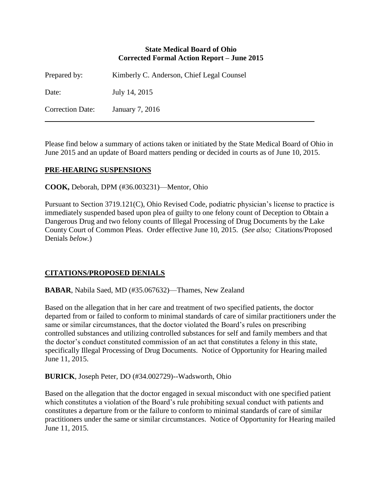### **State Medical Board of Ohio Corrected Formal Action Report – June 2015**

| Prepared by:            | Kimberly C. Anderson, Chief Legal Counsel |
|-------------------------|-------------------------------------------|
| Date:                   | July 14, 2015                             |
| <b>Correction Date:</b> | January 7, 2016                           |

Please find below a summary of actions taken or initiated by the State Medical Board of Ohio in June 2015 and an update of Board matters pending or decided in courts as of June 10, 2015.

# **PRE-HEARING SUSPENSIONS**

**COOK,** Deborah, DPM (#36.003231)—Mentor, Ohio

Pursuant to Section 3719.121(C), Ohio Revised Code, podiatric physician's license to practice is immediately suspended based upon plea of guilty to one felony count of Deception to Obtain a Dangerous Drug and two felony counts of Illegal Processing of Drug Documents by the Lake County Court of Common Pleas. Order effective June 10, 2015. (*See also;* Citations/Proposed Denials *below.*)

# **CITATIONS/PROPOSED DENIALS**

**BABAR**, Nabila Saed, MD (#35.067632)—Thames, New Zealand

Based on the allegation that in her care and treatment of two specified patients, the doctor departed from or failed to conform to minimal standards of care of similar practitioners under the same or similar circumstances, that the doctor violated the Board's rules on prescribing controlled substances and utilizing controlled substances for self and family members and that the doctor's conduct constituted commission of an act that constitutes a felony in this state, specifically Illegal Processing of Drug Documents. Notice of Opportunity for Hearing mailed June 11, 2015.

**BURICK**, Joseph Peter, DO (#34.002729)--Wadsworth, Ohio

Based on the allegation that the doctor engaged in sexual misconduct with one specified patient which constitutes a violation of the Board's rule prohibiting sexual conduct with patients and constitutes a departure from or the failure to conform to minimal standards of care of similar practitioners under the same or similar circumstances. Notice of Opportunity for Hearing mailed June 11, 2015.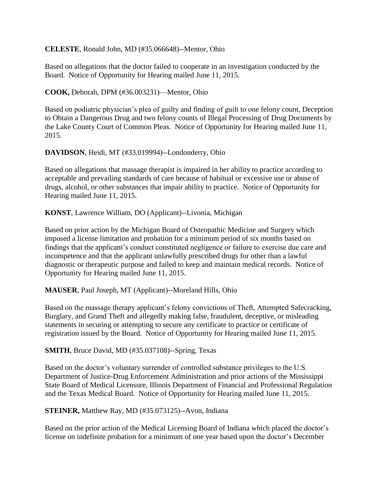**CELESTE**, Ronald John, MD (#35.066648)--Mentor, Ohio

Based on allegations that the doctor failed to cooperate in an investigation conducted by the Board. Notice of Opportunity for Hearing mailed June 11, 2015.

**COOK,** Deborah, DPM (#36.003231)—Mentor, Ohio

Based on podiatric physician's plea of guilty and finding of guilt to one felony count, Deception to Obtain a Dangerous Drug and two felony counts of Illegal Processing of Drug Documents by the Lake County Court of Common Pleas. Notice of Opportunity for Hearing mailed June 11, 2015.

**DAVIDSON**, Heidi, MT (#33.019994)--Londonderry, Ohio

Based on allegations that massage therapist is impaired in her ability to practice according to acceptable and prevailing standards of care because of habitual or excessive use or abuse of drugs, alcohol, or other substances that impair ability to practice. Notice of Opportunity for Hearing mailed June 11, 2015.

**KONST**, Lawrence William, DO (Applicant)--Livonia, Michigan

Based on prior action by the Michigan Board of Osteopathic Medicine and Surgery which imposed a license limitation and probation for a minimum period of six months based on findings that the applicant's conduct constituted negligence or failure to exercise due care and incompetence and that the applicant unlawfully prescribed drugs for other than a lawful diagnostic or therapeutic purpose and failed to keep and maintain medical records. Notice of Opportunity for Hearing mailed June 11, 2015.

**MAUSER**, Paul Joseph, MT (Applicant)--Moreland Hills, Ohio

Based on the massage therapy applicant's felony convictions of Theft, Attempted Safecracking, Burglary, and Grand Theft and allegedly making false, fraudulent, deceptive, or misleading statements in securing or attempting to secure any certificate to practice or certificate of registration issued by the Board. Notice of Opportunity for Hearing mailed June 11, 2015.

**SMITH**, Bruce David, MD (#35.037108)--Spring, Texas

Based on the doctor's voluntary surrender of controlled substance privileges to the U.S. Department of Justice-Drug Enforcement Administration and prior actions of the Mississippi State Board of Medical Licensure, Illinois Department of Financial and Professional Regulation and the Texas Medical Board. Notice of Opportunity for Hearing mailed June 11, 2015.

**STEINER,** Matthew Ray, MD (#35.073125)--Avon, Indiana

Based on the prior action of the Medical Licensing Board of Indiana which placed the doctor's license on indefinite probation for a minimum of one year based upon the doctor's December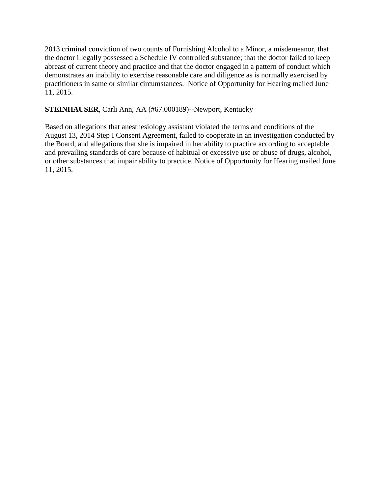2013 criminal conviction of two counts of Furnishing Alcohol to a Minor, a misdemeanor, that the doctor illegally possessed a Schedule IV controlled substance; that the doctor failed to keep abreast of current theory and practice and that the doctor engaged in a pattern of conduct which demonstrates an inability to exercise reasonable care and diligence as is normally exercised by practitioners in same or similar circumstances. Notice of Opportunity for Hearing mailed June 11, 2015.

# **STEINHAUSER**, Carli Ann, AA (#67.000189)--Newport, Kentucky

Based on allegations that anesthesiology assistant violated the terms and conditions of the August 13, 2014 Step I Consent Agreement, failed to cooperate in an investigation conducted by the Board, and allegations that she is impaired in her ability to practice according to acceptable and prevailing standards of care because of habitual or excessive use or abuse of drugs, alcohol, or other substances that impair ability to practice. Notice of Opportunity for Hearing mailed June 11, 2015.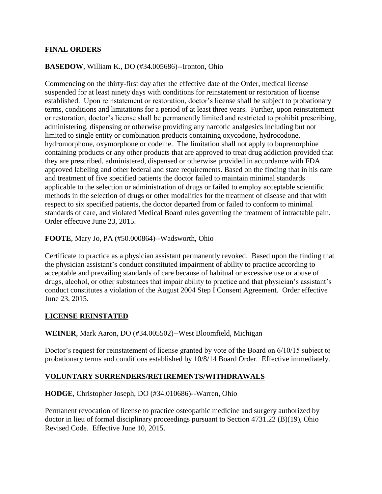## **FINAL ORDERS**

### **BASEDOW**, William K., DO (#34.005686)--Ironton, Ohio

Commencing on the thirty-first day after the effective date of the Order, medical license suspended for at least ninety days with conditions for reinstatement or restoration of license established. Upon reinstatement or restoration, doctor's license shall be subject to probationary terms, conditions and limitations for a period of at least three years. Further, upon reinstatement or restoration, doctor's license shall be permanently limited and restricted to prohibit prescribing, administering, dispensing or otherwise providing any narcotic analgesics including but not limited to single entity or combination products containing oxycodone, hydrocodone, hydromorphone, oxymorphone or codeine. The limitation shall not apply to buprenorphine containing products or any other products that are approved to treat drug addiction provided that they are prescribed, administered, dispensed or otherwise provided in accordance with FDA approved labeling and other federal and state requirements. Based on the finding that in his care and treatment of five specified patients the doctor failed to maintain minimal standards applicable to the selection or administration of drugs or failed to employ acceptable scientific methods in the selection of drugs or other modalities for the treatment of disease and that with respect to six specified patients, the doctor departed from or failed to conform to minimal standards of care, and violated Medical Board rules governing the treatment of intractable pain. Order effective June 23, 2015.

## **FOOTE**, Mary Jo, PA (#50.000864)--Wadsworth, Ohio

Certificate to practice as a physician assistant permanently revoked. Based upon the finding that the physician assistant's conduct constituted impairment of ability to practice according to acceptable and prevailing standards of care because of habitual or excessive use or abuse of drugs, alcohol, or other substances that impair ability to practice and that physician's assistant's conduct constitutes a violation of the August 2004 Step I Consent Agreement. Order effective June 23, 2015.

#### **LICENSE REINSTATED**

**WEINER**, Mark Aaron, DO (#34.005502)--West Bloomfield, Michigan

Doctor's request for reinstatement of license granted by vote of the Board on 6/10/15 subject to probationary terms and conditions established by 10/8/14 Board Order. Effective immediately.

# **VOLUNTARY SURRENDERS/RETIREMENTS/WITHDRAWALS**

#### **HODGE**, Christopher Joseph, DO (#34.010686)--Warren, Ohio

Permanent revocation of license to practice osteopathic medicine and surgery authorized by doctor in lieu of formal disciplinary proceedings pursuant to Section 4731.22 (B)(19), Ohio Revised Code. Effective June 10, 2015.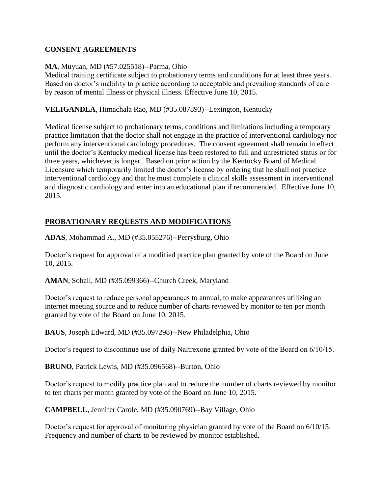## **CONSENT AGREEMENTS**

### **MA**, Muyuan, MD (#57.025518)--Parma, Ohio

Medical training certificate subject to probationary terms and conditions for at least three years. Based on doctor's inability to practice according to acceptable and prevailing standards of care by reason of mental illness or physical illness. Effective June 10, 2015.

## **VELIGANDLA**, Himachala Rao, MD (#35.087893)--Lexington, Kentucky

Medical license subject to probationary terms, conditions and limitations including a temporary practice limitation that the doctor shall not engage in the practice of interventional cardiology nor perform any interventional cardiology procedures. The consent agreement shall remain in effect until the doctor's Kentucky medical license has been restored to full and unrestricted status or for three years, whichever is longer. Based on prior action by the Kentucky Board of Medical Licensure which temporarily limited the doctor's license by ordering that he shall not practice interventional cardiology and that he must complete a clinical skills assessment in interventional and diagnostic cardiology and enter into an educational plan if recommended. Effective June 10, 2015.

# **PROBATIONARY REQUESTS AND MODIFICATIONS**

**ADAS**, Mohammad A., MD (#35.055276)--Perrysburg, Ohio

Doctor's request for approval of a modified practice plan granted by vote of the Board on June 10, 2015.

**AMAN**, Sohail, MD (#35.099366)--Church Creek, Maryland

Doctor's request to reduce personal appearances to annual, to make appearances utilizing an internet meeting source and to reduce number of charts reviewed by monitor to ten per month granted by vote of the Board on June 10, 2015.

**BAUS**, Joseph Edward, MD (#35.097298)--New Philadelphia, Ohio

Doctor's request to discontinue use of daily Naltrexone granted by vote of the Board on 6/10/15.

**BRUNO**, Patrick Lewis, MD (#35.096568)--Burton, Ohio

Doctor's request to modify practice plan and to reduce the number of charts reviewed by monitor to ten charts per month granted by vote of the Board on June 10, 2015.

**CAMPBELL**, Jennifer Carole, MD (#35.090769)--Bay Village, Ohio

Doctor's request for approval of monitoring physician granted by vote of the Board on 6/10/15. Frequency and number of charts to be reviewed by monitor established.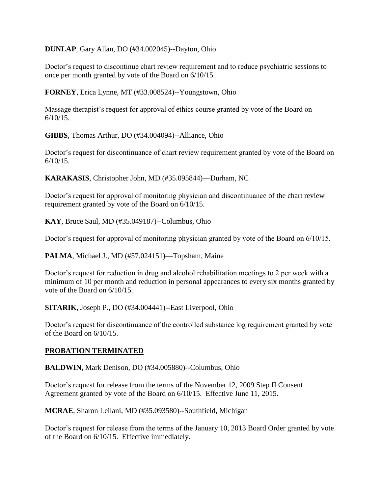**DUNLAP**, Gary Allan, DO (#34.002045)--Dayton, Ohio

Doctor's request to discontinue chart review requirement and to reduce psychiatric sessions to once per month granted by vote of the Board on 6/10/15.

**FORNEY**, Erica Lynne, MT (#33.008524)--Youngstown, Ohio

Massage therapist's request for approval of ethics course granted by vote of the Board on  $6/10/15$ .

**GIBBS**, Thomas Arthur, DO (#34.004094)--Alliance, Ohio

Doctor's request for discontinuance of chart review requirement granted by vote of the Board on 6/10/15.

**KARAKASIS**, Christopher John, MD (#35.095844)—Durham, NC

Doctor's request for approval of monitoring physician and discontinuance of the chart review requirement granted by vote of the Board on 6/10/15.

**KAY**, Bruce Saul, MD (#35.049187)--Columbus, Ohio

Doctor's request for approval of monitoring physician granted by vote of the Board on 6/10/15.

**PALMA**, Michael J., MD (#57.024151)—Topsham, Maine

Doctor's request for reduction in drug and alcohol rehabilitation meetings to 2 per week with a minimum of 10 per month and reduction in personal appearances to every six months granted by vote of the Board on 6/10/15.

**SITARIK**, Joseph P., DO (#34.004441)--East Liverpool, Ohio

Doctor's request for discontinuance of the controlled substance log requirement granted by vote of the Board on 6/10/15.

#### **PROBATION TERMINATED**

**BALDWIN,** Mark Denison, DO (#34.005880)--Columbus, Ohio

Doctor's request for release from the terms of the November 12, 2009 Step II Consent Agreement granted by vote of the Board on 6/10/15. Effective June 11, 2015.

**MCRAE**, Sharon Leilani, MD (#35.093580)--Southfield, Michigan

Doctor's request for release from the terms of the January 10, 2013 Board Order granted by vote of the Board on 6/10/15. Effective immediately.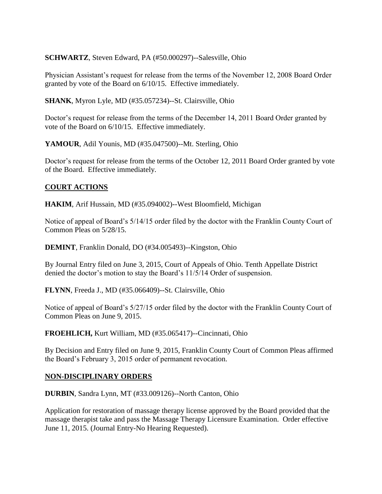**SCHWARTZ**, Steven Edward, PA (#50.000297)--Salesville, Ohio

Physician Assistant's request for release from the terms of the November 12, 2008 Board Order granted by vote of the Board on 6/10/15. Effective immediately.

**SHANK**, Myron Lyle, MD (#35.057234)--St. Clairsville, Ohio

Doctor's request for release from the terms of the December 14, 2011 Board Order granted by vote of the Board on 6/10/15. Effective immediately.

**YAMOUR**, Adil Younis, MD (#35.047500)--Mt. Sterling, Ohio

Doctor's request for release from the terms of the October 12, 2011 Board Order granted by vote of the Board. Effective immediately.

# **COURT ACTIONS**

**HAKIM**, Arif Hussain, MD (#35.094002)--West Bloomfield, Michigan

Notice of appeal of Board's 5/14/15 order filed by the doctor with the Franklin County Court of Common Pleas on 5/28/15.

**DEMINT**, Franklin Donald, DO (#34.005493)--Kingston, Ohio

By Journal Entry filed on June 3, 2015, Court of Appeals of Ohio. Tenth Appellate District denied the doctor's motion to stay the Board's 11/5/14 Order of suspension.

**FLYNN**, Freeda J., MD (#35.066409)--St. Clairsville, Ohio

Notice of appeal of Board's 5/27/15 order filed by the doctor with the Franklin County Court of Common Pleas on June 9, 2015.

**FROEHLICH,** Kurt William, MD (#35.065417)--Cincinnati, Ohio

By Decision and Entry filed on June 9, 2015, Franklin County Court of Common Pleas affirmed the Board's February 3, 2015 order of permanent revocation.

# **NON-DISCIPLINARY ORDERS**

**DURBIN**, Sandra Lynn, MT (#33.009126)--North Canton, Ohio

Application for restoration of massage therapy license approved by the Board provided that the massage therapist take and pass the Massage Therapy Licensure Examination. Order effective June 11, 2015. (Journal Entry-No Hearing Requested).